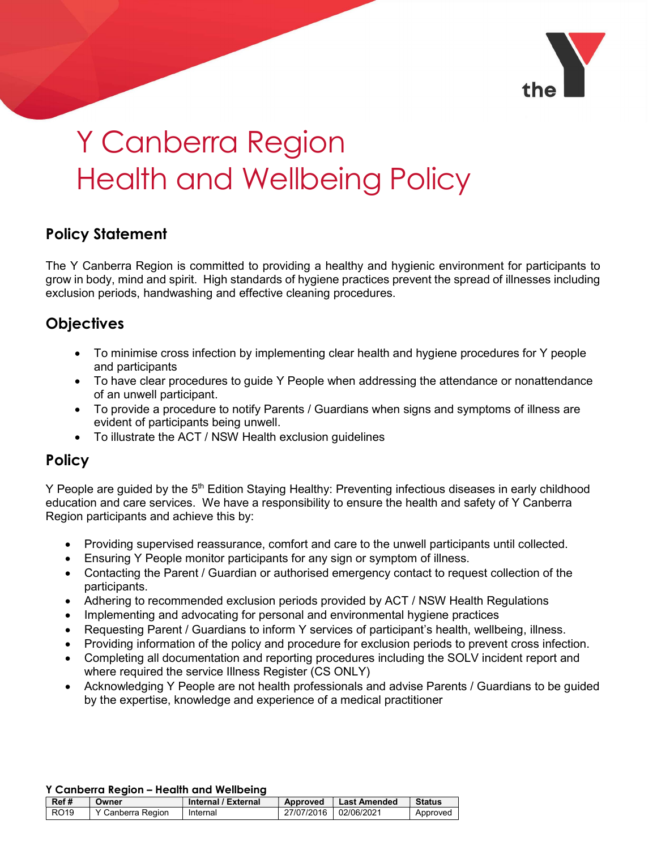

# Y Canberra Region Health and Wellbeing Policy

# Policy Statement

The Y Canberra Region is committed to providing a healthy and hygienic environment for participants to grow in body, mind and spirit. High standards of hygiene practices prevent the spread of illnesses including exclusion periods, handwashing and effective cleaning procedures.

# **Objectives**

- To minimise cross infection by implementing clear health and hygiene procedures for Y people and participants
- To have clear procedures to guide Y People when addressing the attendance or nonattendance of an unwell participant.
- To provide a procedure to notify Parents / Guardians when signs and symptoms of illness are evident of participants being unwell.
- To illustrate the ACT / NSW Health exclusion guidelines

# **Policy**

Y People are guided by the 5<sup>th</sup> Edition Staying Healthy: Preventing infectious diseases in early childhood education and care services. We have a responsibility to ensure the health and safety of Y Canberra Region participants and achieve this by:

- Providing supervised reassurance, comfort and care to the unwell participants until collected.
- Ensuring Y People monitor participants for any sign or symptom of illness.
- Contacting the Parent / Guardian or authorised emergency contact to request collection of the participants.
- Adhering to recommended exclusion periods provided by ACT / NSW Health Regulations
- Implementing and advocating for personal and environmental hygiene practices
- Requesting Parent / Guardians to inform Y services of participant's health, wellbeing, illness.
- Providing information of the policy and procedure for exclusion periods to prevent cross infection.
- Completing all documentation and reporting procedures including the SOLV incident report and where required the service Illness Register (CS ONLY)
- Acknowledging Y People are not health professionals and advise Parents / Guardians to be guided by the expertise, knowledge and experience of a medical practitioner

#### Y Canberra Region – Health and Wellbeing

| Ref# | Owner             | Internal / External | <b>Approved</b> | <b>Last Amended</b> | <b>Status</b> |
|------|-------------------|---------------------|-----------------|---------------------|---------------|
| RO19 | Y Canberra Region | Internal            | 27/07/2016      | 02/06/2021          | Approved      |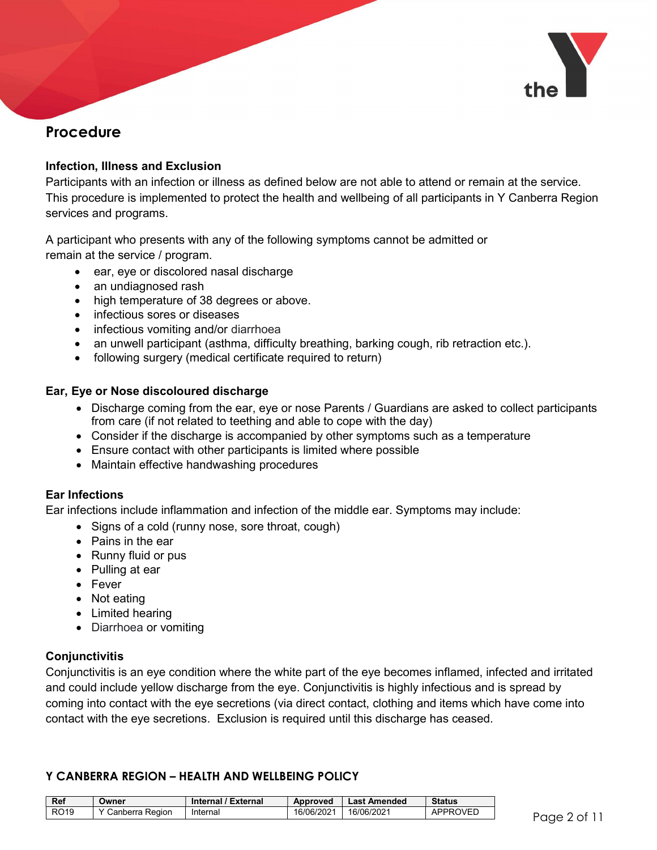

# Procedure

#### Infection, Illness and Exclusion

Participants with an infection or illness as defined below are not able to attend or remain at the service. This procedure is implemented to protect the health and wellbeing of all participants in Y Canberra Region services and programs.

A participant who presents with any of the following symptoms cannot be admitted or remain at the service / program.

- ear, eye or discolored nasal discharge
- an undiagnosed rash
- high temperature of 38 degrees or above.
- infectious sores or diseases
- infectious vomiting and/or diarrhoea
- an unwell participant (asthma, difficulty breathing, barking cough, rib retraction etc.).
- following surgery (medical certificate required to return)

#### Ear, Eye or Nose discoloured discharge

- Discharge coming from the ear, eye or nose Parents / Guardians are asked to collect participants from care (if not related to teething and able to cope with the day)
- Consider if the discharge is accompanied by other symptoms such as a temperature
- Ensure contact with other participants is limited where possible
- Maintain effective handwashing procedures

#### Ear Infections

Ear infections include inflammation and infection of the middle ear. Symptoms may include:

- Signs of a cold (runny nose, sore throat, cough)
- Pains in the ear
- Runny fluid or pus
- Pulling at ear
- Fever
- Not eating
- Limited hearing
- Diarrhoea or vomiting

## **Conjunctivitis**

Conjunctivitis is an eye condition where the white part of the eye becomes inflamed, infected and irritated and could include yellow discharge from the eye. Conjunctivitis is highly infectious and is spread by coming into contact with the eye secretions (via direct contact, clothing and items which have come into contact with the eye secretions. Exclusion is required until this discharge has ceased.

| <b>Ref</b>  | Owner                        | Internal / External | Approved   | <b>Last Amended</b> | <b>Status</b>   |                |
|-------------|------------------------------|---------------------|------------|---------------------|-----------------|----------------|
| <b>RO19</b> | <sup>:</sup> Canberra Region | Internal            | 16/06/2021 | 16/06/2021          | <b>APPROVED</b> | Paae<br>$\sim$ |
|             |                              |                     |            |                     |                 | ຼ              |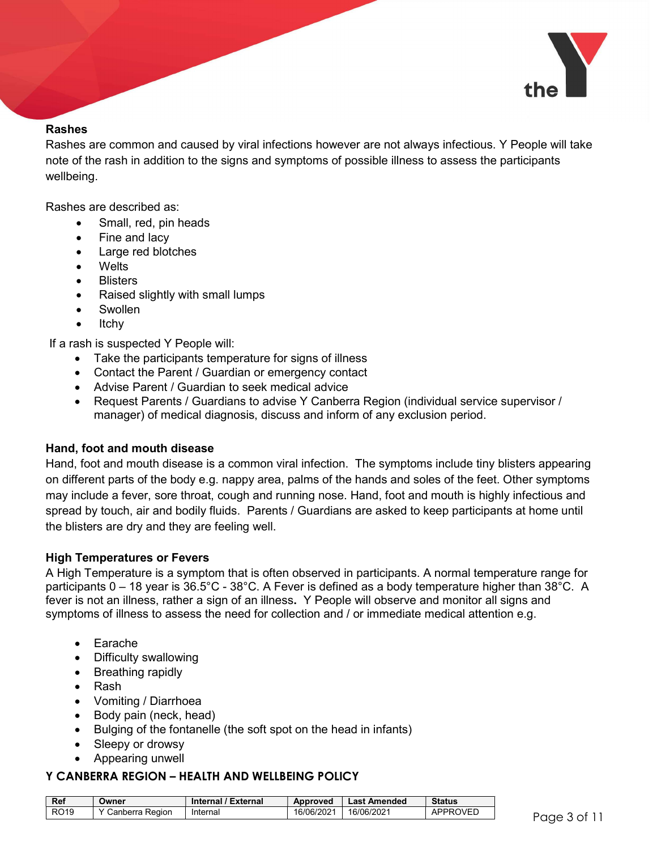

#### Rashes

Rashes are common and caused by viral infections however are not always infectious. Y People will take note of the rash in addition to the signs and symptoms of possible illness to assess the participants wellbeing.

Rashes are described as:

- Small, red, pin heads
- Fine and lacy
- Large red blotches
- Welts
- **Blisters**
- Raised slightly with small lumps
- Swollen
- Itchy

If a rash is suspected Y People will:

- Take the participants temperature for signs of illness
- Contact the Parent / Guardian or emergency contact
- Advise Parent / Guardian to seek medical advice
- Request Parents / Guardians to advise Y Canberra Region (individual service supervisor / manager) of medical diagnosis, discuss and inform of any exclusion period.

#### Hand, foot and mouth disease

Hand, foot and mouth disease is a common viral infection. The symptoms include tiny blisters appearing on different parts of the body e.g. nappy area, palms of the hands and soles of the feet. Other symptoms may include a fever, sore throat, cough and running nose. Hand, foot and mouth is highly infectious and spread by touch, air and bodily fluids. Parents / Guardians are asked to keep participants at home until the blisters are dry and they are feeling well.

#### High Temperatures or Fevers

A High Temperature is a symptom that is often observed in participants. A normal temperature range for participants 0 – 18 year is 36.5°C - 38°C. A Fever is defined as a body temperature higher than 38°C. A fever is not an illness, rather a sign of an illness. Y People will observe and monitor all signs and symptoms of illness to assess the need for collection and / or immediate medical attention e.g.

- Earache
- Difficulty swallowing
- Breathing rapidly
- Rash
- Vomiting / Diarrhoea
- Body pain (neck, head)
- Bulging of the fontanelle (the soft spot on the head in infants)
- Sleepy or drowsy
- Appearing unwell

| <b>Ref</b>  | Owner           | <b>Internal / External</b> | Approved   | Last Amended | <b>Status</b>   |           |
|-------------|-----------------|----------------------------|------------|--------------|-----------------|-----------|
| <b>RO19</b> | Canberra Region | Internal                   | 16/06/2021 | 16/06/2021   | <b>APPROVED</b> | Paae<br>~ |
|             |                 |                            |            |              |                 |           |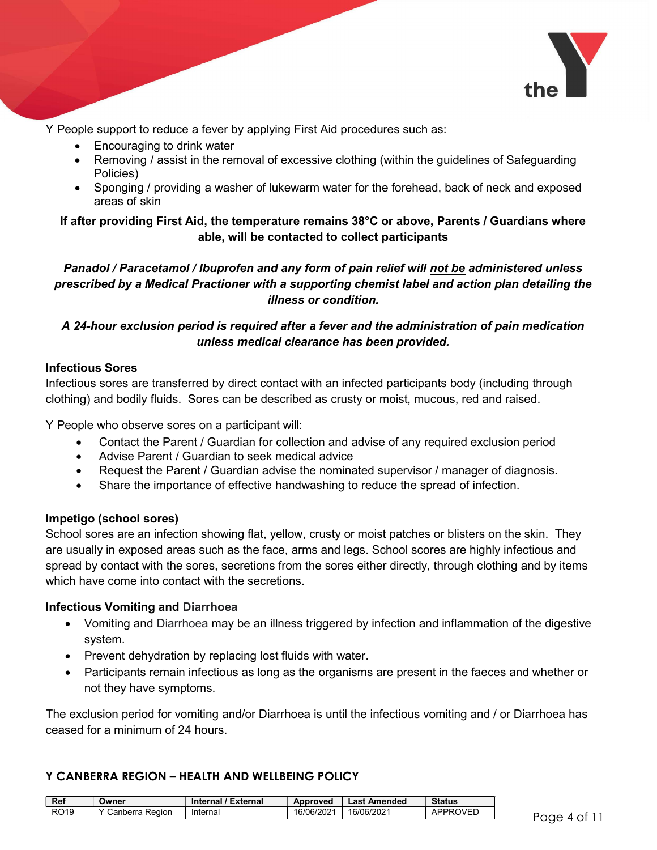

Y People support to reduce a fever by applying First Aid procedures such as:

- Encouraging to drink water
- Removing / assist in the removal of excessive clothing (within the guidelines of Safeguarding Policies)
- Sponging / providing a washer of lukewarm water for the forehead, back of neck and exposed areas of skin

## If after providing First Aid, the temperature remains 38°C or above, Parents / Guardians where able, will be contacted to collect participants

## Panadol / Paracetamol / Ibuprofen and any form of pain relief will not be administered unless prescribed by a Medical Practioner with a supporting chemist label and action plan detailing the illness or condition.

## A 24-hour exclusion period is required after a fever and the administration of pain medication unless medical clearance has been provided.

#### Infectious Sores

Infectious sores are transferred by direct contact with an infected participants body (including through clothing) and bodily fluids. Sores can be described as crusty or moist, mucous, red and raised.

Y People who observe sores on a participant will:

- Contact the Parent / Guardian for collection and advise of any required exclusion period
- Advise Parent / Guardian to seek medical advice
- Request the Parent / Guardian advise the nominated supervisor / manager of diagnosis.
- Share the importance of effective handwashing to reduce the spread of infection.

#### Impetigo (school sores)

School sores are an infection showing flat, yellow, crusty or moist patches or blisters on the skin. They are usually in exposed areas such as the face, arms and legs. School scores are highly infectious and spread by contact with the sores, secretions from the sores either directly, through clothing and by items which have come into contact with the secretions.

#### Infectious Vomiting and Diarrhoea

- Vomiting and Diarrhoea may be an illness triggered by infection and inflammation of the digestive system.
- Prevent dehydration by replacing lost fluids with water.
- Participants remain infectious as long as the organisms are present in the faeces and whether or not they have symptoms.

The exclusion period for vomiting and/or Diarrhoea is until the infectious vomiting and / or Diarrhoea has ceased for a minimum of 24 hours.

| <b>Ref</b>  | Owner           | Internal / External | Approved   | <b>Last Amended</b> | <b>Status</b>   |                |
|-------------|-----------------|---------------------|------------|---------------------|-----------------|----------------|
| <b>RO19</b> | Canberra Region | Internal            | 16/06/2021 | 16/06/2021          | <b>APPROVED</b> | rage<br>$\sim$ |
|             |                 |                     |            |                     |                 | ັ              |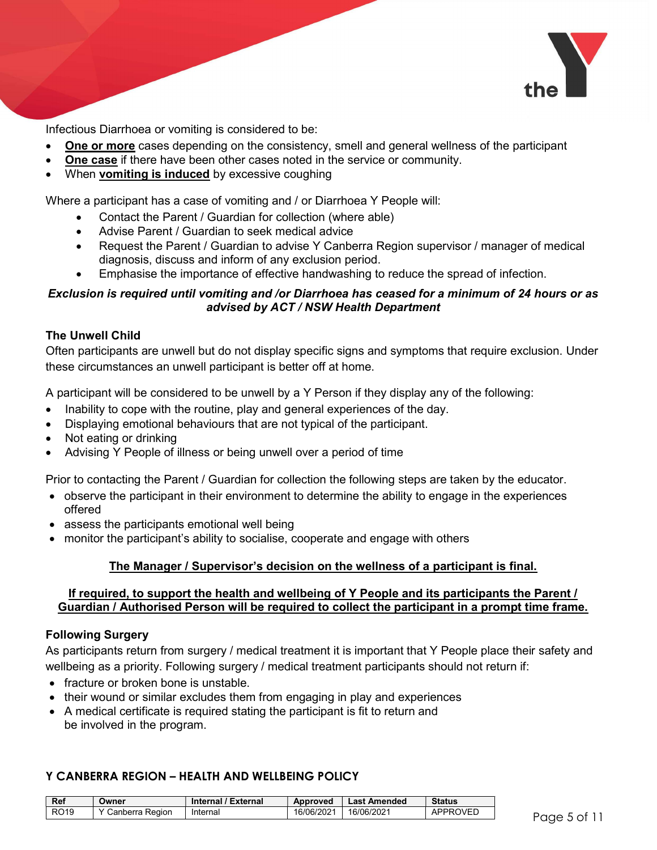

Infectious Diarrhoea or vomiting is considered to be:

- One or more cases depending on the consistency, smell and general wellness of the participant
- One case if there have been other cases noted in the service or community.
- When **vomiting is induced** by excessive coughing

Where a participant has a case of vomiting and / or Diarrhoea Y People will:

- Contact the Parent / Guardian for collection (where able)
- Advise Parent / Guardian to seek medical advice
- Request the Parent / Guardian to advise Y Canberra Region supervisor / manager of medical diagnosis, discuss and inform of any exclusion period.
- Emphasise the importance of effective handwashing to reduce the spread of infection.

#### Exclusion is required until vomiting and /or Diarrhoea has ceased for a minimum of 24 hours or as advised by ACT / NSW Health Department

#### The Unwell Child

Often participants are unwell but do not display specific signs and symptoms that require exclusion. Under these circumstances an unwell participant is better off at home.

A participant will be considered to be unwell by a Y Person if they display any of the following:

- Inability to cope with the routine, play and general experiences of the day.
- Displaying emotional behaviours that are not typical of the participant.
- Not eating or drinking
- Advising Y People of illness or being unwell over a period of time

Prior to contacting the Parent / Guardian for collection the following steps are taken by the educator.

- observe the participant in their environment to determine the ability to engage in the experiences offered
- assess the participants emotional well being
- monitor the participant's ability to socialise, cooperate and engage with others

#### The Manager / Supervisor's decision on the wellness of a participant is final.

#### If required, to support the health and wellbeing of Y People and its participants the Parent / Guardian / Authorised Person will be required to collect the participant in a prompt time frame.

#### Following Surgery

As participants return from surgery / medical treatment it is important that Y People place their safety and wellbeing as a priority. Following surgery / medical treatment participants should not return if:

- fracture or broken bone is unstable.
- their wound or similar excludes them from engaging in play and experiences
- A medical certificate is required stating the participant is fit to return and be involved in the program.

| <b>Ref</b>  | Owner             | Internal / External | Approved   | <b>Last Amended</b> | <b>Status</b>   |                  |
|-------------|-------------------|---------------------|------------|---------------------|-----------------|------------------|
| <b>RO19</b> | ' Canberra Region | Internal            | 16/06/2021 | 16/06/2021          | <b>APPROVED</b> | Page 5<br>$\sim$ |
|             |                   |                     |            |                     |                 |                  |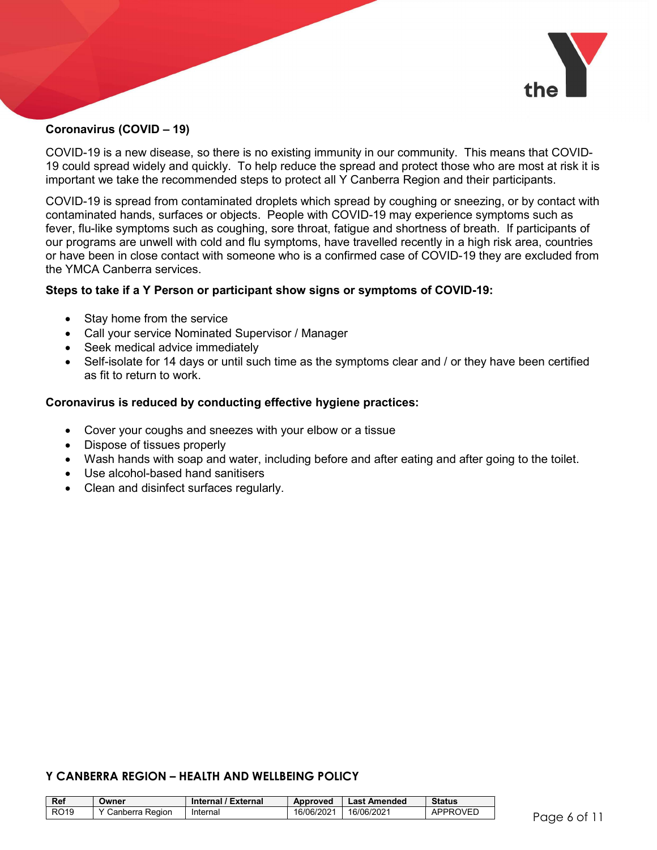

#### Coronavirus (COVID – 19)

COVID-19 is a new disease, so there is no existing immunity in our community. This means that COVID-19 could spread widely and quickly. To help reduce the spread and protect those who are most at risk it is important we take the recommended steps to protect all Y Canberra Region and their participants.

COVID-19 is spread from contaminated droplets which spread by coughing or sneezing, or by contact with contaminated hands, surfaces or objects. People with COVID-19 may experience symptoms such as fever, flu-like symptoms such as coughing, sore throat, fatigue and shortness of breath. If participants of our programs are unwell with cold and flu symptoms, have travelled recently in a high risk area, countries or have been in close contact with someone who is a confirmed case of COVID-19 they are excluded from the YMCA Canberra services.

#### Steps to take if a Y Person or participant show signs or symptoms of COVID-19:

- Stay home from the service
- Call your service Nominated Supervisor / Manager
- Seek medical advice immediately
- Self-isolate for 14 days or until such time as the symptoms clear and / or they have been certified as fit to return to work.

#### Coronavirus is reduced by conducting effective hygiene practices:

- Cover your coughs and sneezes with your elbow or a tissue
- Dispose of tissues properly
- Wash hands with soap and water, including before and after eating and after going to the toilet.
- Use alcohol-based hand sanitisers
- Clean and disinfect surfaces regularly.

| <b>Ref</b>  | Owner             | Internal / External | Approved   | <b>Last Amended</b> | <b>Status</b>   |                |
|-------------|-------------------|---------------------|------------|---------------------|-----------------|----------------|
| <b>RO19</b> | Y Canberra Region | Internal            | 16/06/2021 | 16/06/2021          | <b>APPROVED</b> | rage<br>$\sim$ |
|             |                   |                     |            |                     |                 | ຼ              |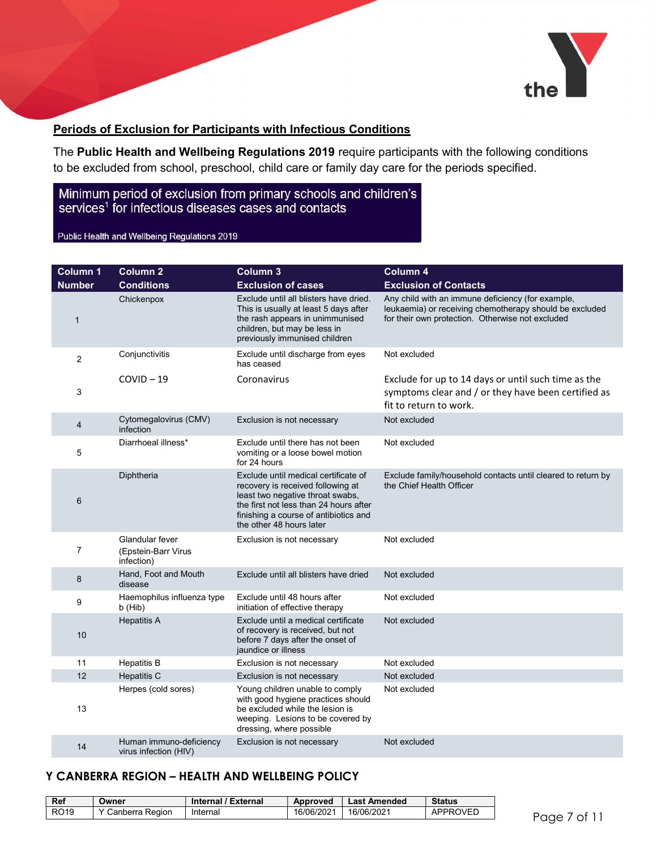

#### Periods of Exclusion for Participants with Infectious Conditions

The Public Health and Wellbeing Regulations 2019 require participants with the following conditions to be excluded from school, preschool, child care or family day care for the periods specified.

## Minimum period of exclusion from primary schools and children's services<sup>1</sup> for infectious diseases cases and contacts

Public Health and Wellbeing Regulations 2019

| <b>Column 1</b> | <b>Column 2</b>                                      | Column 3                                                                                                                                                                                                                     | Column 4                                                                                                                                                         |
|-----------------|------------------------------------------------------|------------------------------------------------------------------------------------------------------------------------------------------------------------------------------------------------------------------------------|------------------------------------------------------------------------------------------------------------------------------------------------------------------|
| <b>Number</b>   | <b>Conditions</b>                                    | <b>Exclusion of cases</b>                                                                                                                                                                                                    | <b>Exclusion of Contacts</b>                                                                                                                                     |
| $\mathbf{1}$    | Chickenpox                                           | Exclude until all blisters have dried.<br>This is usually at least 5 days after<br>the rash appears in unimmunised<br>children, but may be less in<br>previously immunised children                                          | Any child with an immune deficiency (for example,<br>leukaemia) or receiving chemotherapy should be excluded<br>for their own protection. Otherwise not excluded |
| 2               | Conjunctivitis                                       | Exclude until discharge from eyes<br>has ceased                                                                                                                                                                              | Not excluded                                                                                                                                                     |
| 3               | $COVID-19$                                           | Coronavirus                                                                                                                                                                                                                  | Exclude for up to 14 days or until such time as the<br>symptoms clear and / or they have been certified as<br>fit to return to work.                             |
| 4               | Cytomegalovirus (CMV)<br>infection                   | Exclusion is not necessary                                                                                                                                                                                                   | Not excluded                                                                                                                                                     |
| 5               | Diarrhoeal illness*                                  | Exclude until there has not been<br>vomiting or a loose bowel motion<br>for 24 hours                                                                                                                                         | Not excluded                                                                                                                                                     |
| $6\phantom{1}6$ | Diphtheria                                           | Exclude until medical certificate of<br>recovery is received following at<br>least two negative throat swabs,<br>the first not less than 24 hours after<br>finishing a course of antibiotics and<br>the other 48 hours later | Exclude family/household contacts until cleared to return by<br>the Chief Health Officer                                                                         |
| $\overline{7}$  | Glandular fever<br>(Epstein-Barr Virus<br>infection) | Exclusion is not necessary                                                                                                                                                                                                   | Not excluded                                                                                                                                                     |
| 8               | Hand, Foot and Mouth<br>disease                      | Exclude until all blisters have dried                                                                                                                                                                                        | Not excluded                                                                                                                                                     |
| 9               | Haemophilus influenza type<br>b (Hib)                | Exclude until 48 hours after<br>initiation of effective therapy                                                                                                                                                              | Not excluded                                                                                                                                                     |
| 10              | <b>Hepatitis A</b>                                   | Exclude until a medical certificate<br>of recovery is received, but not<br>before 7 days after the onset of<br>jaundice or illness                                                                                           | Not excluded                                                                                                                                                     |
| 11              | <b>Hepatitis B</b>                                   | Exclusion is not necessary                                                                                                                                                                                                   | Not excluded                                                                                                                                                     |
| 12              | <b>Hepatitis C</b>                                   | Exclusion is not necessary                                                                                                                                                                                                   | Not excluded                                                                                                                                                     |
| 13              | Herpes (cold sores)                                  | Young children unable to comply<br>with good hygiene practices should<br>be excluded while the lesion is<br>weeping. Lesions to be covered by<br>dressing, where possible                                                    | Not excluded                                                                                                                                                     |
| 14              | Human immuno-deficiency<br>virus infection (HIV)     | Exclusion is not necessary                                                                                                                                                                                                   | Not excluded                                                                                                                                                     |

| Ref              | Jwner           | Internal / External | Approved   | <b>Last Amended</b> | <b>Status</b> |
|------------------|-----------------|---------------------|------------|---------------------|---------------|
| RO <sub>19</sub> | Canberra Region | Internal            | 16/06/2021 | 16/06/2021          | APPROVEL      |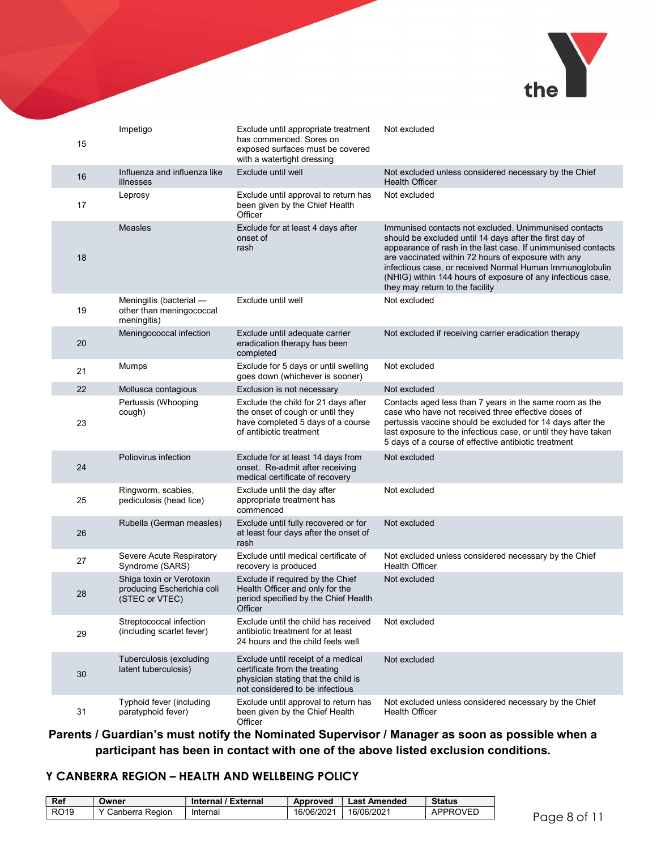

| 15 | Impetigo                                                                 | Exclude until appropriate treatment<br>has commenced. Sores on<br>exposed surfaces must be covered<br>with a watertight dressing              | Not excluded                                                                                                                                                                                                                                                                                                                                                                                          |
|----|--------------------------------------------------------------------------|-----------------------------------------------------------------------------------------------------------------------------------------------|-------------------------------------------------------------------------------------------------------------------------------------------------------------------------------------------------------------------------------------------------------------------------------------------------------------------------------------------------------------------------------------------------------|
| 16 | Influenza and influenza like<br>illnesses                                | Exclude until well                                                                                                                            | Not excluded unless considered necessary by the Chief<br><b>Health Officer</b>                                                                                                                                                                                                                                                                                                                        |
| 17 | Leprosy                                                                  | Exclude until approval to return has<br>been given by the Chief Health<br>Officer                                                             | Not excluded                                                                                                                                                                                                                                                                                                                                                                                          |
| 18 | <b>Measles</b>                                                           | Exclude for at least 4 days after<br>onset of<br>rash                                                                                         | Immunised contacts not excluded. Unimmunised contacts<br>should be excluded until 14 days after the first day of<br>appearance of rash in the last case. If unimmunised contacts<br>are vaccinated within 72 hours of exposure with any<br>infectious case, or received Normal Human Immunoglobulin<br>(NHIG) within 144 hours of exposure of any infectious case,<br>they may return to the facility |
| 19 | Meningitis (bacterial -<br>other than meningococcal<br>meningitis)       | Exclude until well                                                                                                                            | Not excluded                                                                                                                                                                                                                                                                                                                                                                                          |
| 20 | Meningococcal infection                                                  | Exclude until adequate carrier<br>eradication therapy has been<br>completed                                                                   | Not excluded if receiving carrier eradication therapy                                                                                                                                                                                                                                                                                                                                                 |
| 21 | Mumps                                                                    | Exclude for 5 days or until swelling<br>goes down (whichever is sooner)                                                                       | Not excluded                                                                                                                                                                                                                                                                                                                                                                                          |
| 22 | Mollusca contagious                                                      | Exclusion is not necessary                                                                                                                    | Not excluded                                                                                                                                                                                                                                                                                                                                                                                          |
| 23 | Pertussis (Whooping<br>cough)                                            | Exclude the child for 21 days after<br>the onset of cough or until they<br>have completed 5 days of a course<br>of antibiotic treatment       | Contacts aged less than 7 years in the same room as the<br>case who have not received three effective doses of<br>pertussis vaccine should be excluded for 14 days after the<br>last exposure to the infectious case, or until they have taken<br>5 days of a course of effective antibiotic treatment                                                                                                |
| 24 | Poliovirus infection                                                     | Exclude for at least 14 days from<br>onset. Re-admit after receiving<br>medical certificate of recovery                                       | Not excluded                                                                                                                                                                                                                                                                                                                                                                                          |
| 25 | Ringworm, scabies,<br>pediculosis (head lice)                            | Exclude until the day after<br>appropriate treatment has<br>commenced                                                                         | Not excluded                                                                                                                                                                                                                                                                                                                                                                                          |
| 26 | Rubella (German measles)                                                 | Exclude until fully recovered or for<br>at least four days after the onset of<br>rash                                                         | Not excluded                                                                                                                                                                                                                                                                                                                                                                                          |
| 27 | Severe Acute Respiratory<br>Syndrome (SARS)                              | Exclude until medical certificate of<br>recovery is produced                                                                                  | Not excluded unless considered necessary by the Chief<br><b>Health Officer</b>                                                                                                                                                                                                                                                                                                                        |
| 28 | Shiga toxin or Verotoxin<br>producing Escherichia coli<br>(STEC or VTEC) | Exclude if required by the Chief<br>Health Officer and only for the<br>period specified by the Chief Health<br>Officer                        | Not excluded                                                                                                                                                                                                                                                                                                                                                                                          |
| 29 | Streptococcal infection<br>(including scarlet fever)                     | Exclude until the child has received<br>antibiotic treatment for at least<br>24 hours and the child feels well                                | Not excluded                                                                                                                                                                                                                                                                                                                                                                                          |
| 30 | Tuberculosis (excluding<br>latent tuberculosis)                          | Exclude until receipt of a medical<br>certificate from the treating<br>physician stating that the child is<br>not considered to be infectious | Not excluded                                                                                                                                                                                                                                                                                                                                                                                          |
| 31 | Typhoid fever (including<br>paratyphoid fever)                           | Exclude until approval to return has<br>been given by the Chief Health<br>Officer                                                             | Not excluded unless considered necessary by the Chief<br><b>Health Officer</b>                                                                                                                                                                                                                                                                                                                        |

Parents / Guardian's must notify the Nominated Supervisor / Manager as soon as possible when a participant has been in contact with one of the above listed exclusion conditions.

| Ref              | <b>Jwner</b>      | Internal / External | Approved   | <b>Last Amended</b> | <b>Status</b> |
|------------------|-------------------|---------------------|------------|---------------------|---------------|
| RO <sub>19</sub> | Y Canberra Region | Internal            | 16/06/2021 | 16/06/2021          | APPROVED      |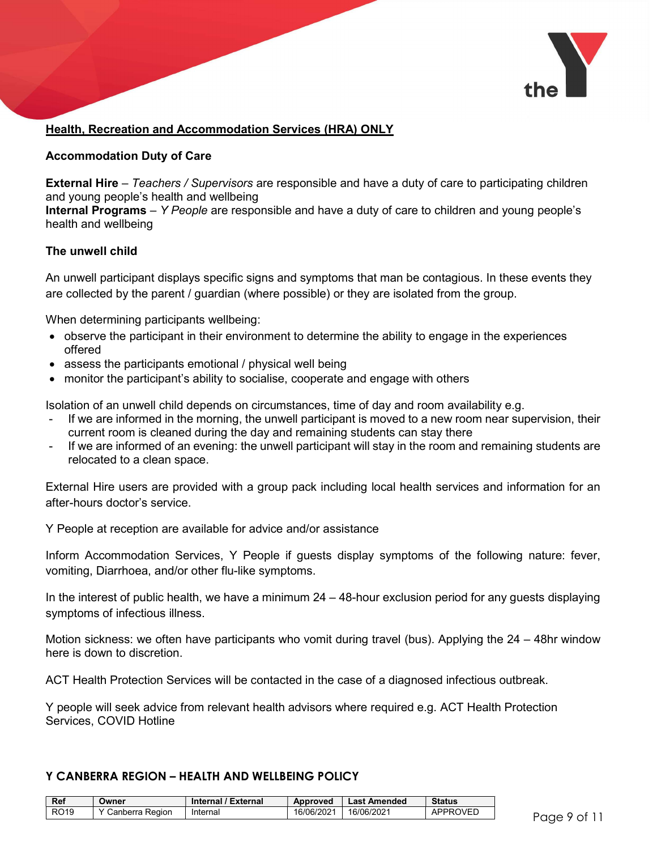

#### Health, Recreation and Accommodation Services (HRA) ONLY

#### Accommodation Duty of Care

**External Hire** – Teachers / Supervisors are responsible and have a duty of care to participating children and young people's health and wellbeing

Internal Programs – Y People are responsible and have a duty of care to children and young people's health and wellbeing

#### The unwell child

An unwell participant displays specific signs and symptoms that man be contagious. In these events they are collected by the parent / guardian (where possible) or they are isolated from the group.

When determining participants wellbeing:

- observe the participant in their environment to determine the ability to engage in the experiences offered
- assess the participants emotional / physical well being
- monitor the participant's ability to socialise, cooperate and engage with others

Isolation of an unwell child depends on circumstances, time of day and room availability e.g.

- If we are informed in the morning, the unwell participant is moved to a new room near supervision, their current room is cleaned during the day and remaining students can stay there
- If we are informed of an evening: the unwell participant will stay in the room and remaining students are relocated to a clean space.

External Hire users are provided with a group pack including local health services and information for an after-hours doctor's service.

Y People at reception are available for advice and/or assistance

Inform Accommodation Services, Y People if guests display symptoms of the following nature: fever, vomiting, Diarrhoea, and/or other flu-like symptoms.

In the interest of public health, we have a minimum 24 – 48-hour exclusion period for any guests displaying symptoms of infectious illness.

Motion sickness: we often have participants who vomit during travel (bus). Applying the  $24 - 48$ hr window here is down to discretion.

ACT Health Protection Services will be contacted in the case of a diagnosed infectious outbreak.

Y people will seek advice from relevant health advisors where required e.g. ACT Health Protection Services, COVID Hotline

| <b>Ref</b>  | Owner           | Internal / External | Approved   | <b>Last Amended</b> | <b>Status</b> |           |
|-------------|-----------------|---------------------|------------|---------------------|---------------|-----------|
| <b>RO19</b> | Canberra Region | Internal            | 16/06/2021 | 16/06/2021          | APPROVED      | rage<br>~ |
|             |                 |                     |            |                     |               |           |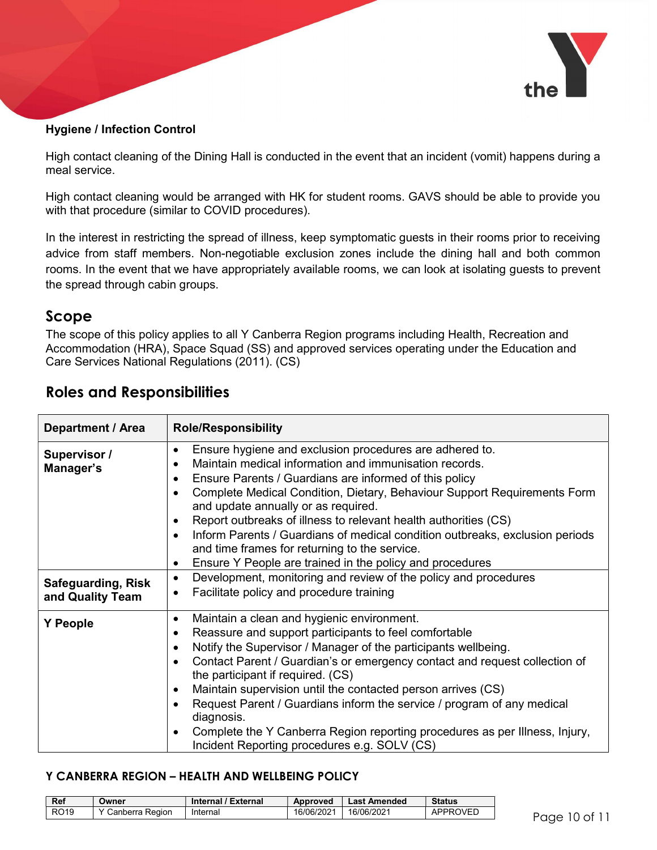

#### Hygiene / Infection Control

High contact cleaning of the Dining Hall is conducted in the event that an incident (vomit) happens during a meal service.

High contact cleaning would be arranged with HK for student rooms. GAVS should be able to provide you with that procedure (similar to COVID procedures).

In the interest in restricting the spread of illness, keep symptomatic guests in their rooms prior to receiving advice from staff members. Non-negotiable exclusion zones include the dining hall and both common rooms. In the event that we have appropriately available rooms, we can look at isolating guests to prevent the spread through cabin groups.

# Scope

The scope of this policy applies to all Y Canberra Region programs including Health, Recreation and Accommodation (HRA), Space Squad (SS) and approved services operating under the Education and Care Services National Regulations (2011). (CS)

| Department / Area                             | <b>Role/Responsibility</b>                                                                                                                                                                                                                                                                                                                                                                                                                                                                                                                                                                                                                                    |
|-----------------------------------------------|---------------------------------------------------------------------------------------------------------------------------------------------------------------------------------------------------------------------------------------------------------------------------------------------------------------------------------------------------------------------------------------------------------------------------------------------------------------------------------------------------------------------------------------------------------------------------------------------------------------------------------------------------------------|
| Supervisor /<br>Manager's                     | Ensure hygiene and exclusion procedures are adhered to.<br>$\bullet$<br>Maintain medical information and immunisation records.<br>$\bullet$<br>Ensure Parents / Guardians are informed of this policy<br>$\bullet$<br>Complete Medical Condition, Dietary, Behaviour Support Requirements Form<br>$\bullet$<br>and update annually or as required.<br>Report outbreaks of illness to relevant health authorities (CS)<br>$\bullet$<br>Inform Parents / Guardians of medical condition outbreaks, exclusion periods<br>$\bullet$<br>and time frames for returning to the service.<br>Ensure Y People are trained in the policy and procedures<br>$\bullet$     |
| <b>Safeguarding, Risk</b><br>and Quality Team | Development, monitoring and review of the policy and procedures<br>$\bullet$<br>Facilitate policy and procedure training<br>$\bullet$                                                                                                                                                                                                                                                                                                                                                                                                                                                                                                                         |
| <b>Y</b> People                               | Maintain a clean and hygienic environment.<br>$\bullet$<br>Reassure and support participants to feel comfortable<br>$\bullet$<br>Notify the Supervisor / Manager of the participants wellbeing.<br>$\bullet$<br>Contact Parent / Guardian's or emergency contact and request collection of<br>$\bullet$<br>the participant if required. (CS)<br>Maintain supervision until the contacted person arrives (CS)<br>$\bullet$<br>Request Parent / Guardians inform the service / program of any medical<br>diagnosis.<br>Complete the Y Canberra Region reporting procedures as per Illness, Injury,<br>$\bullet$<br>Incident Reporting procedures e.g. SOLV (CS) |

# Roles and Responsibilities

| Ref         | Owner             | Internal / External | <b>Approved</b> | Last Amended | <b>Status</b> |
|-------------|-------------------|---------------------|-----------------|--------------|---------------|
| <b>RO19</b> | Y Canberra Region | Internal            | 16/06/2021      | 16/06/2021   | APPROVED      |